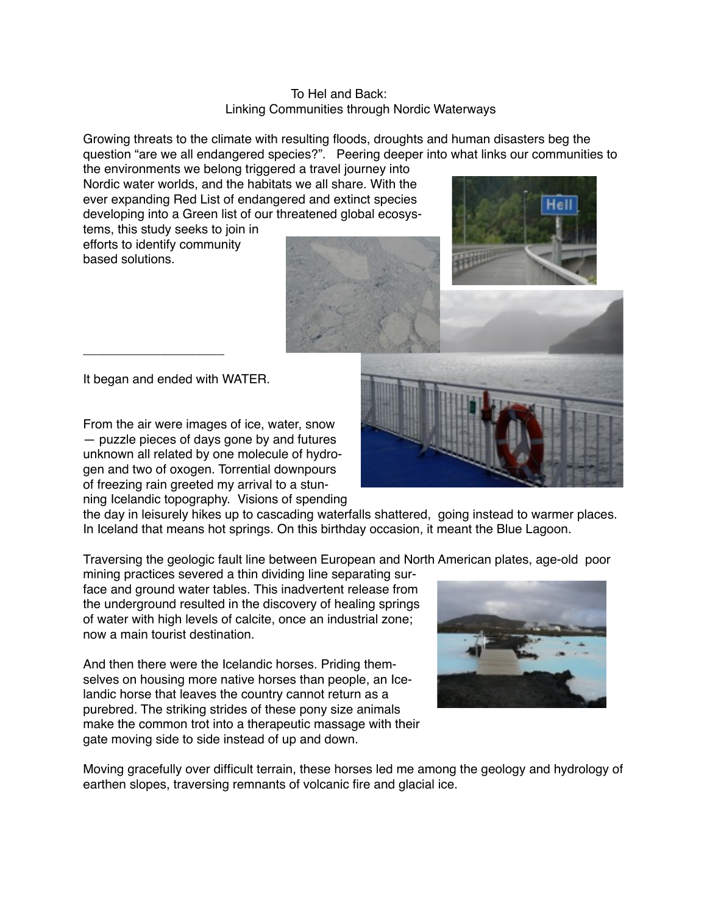## To Hel and Back: Linking Communities through Nordic Waterways

Growing threats to the climate with resulting floods, droughts and human disasters beg the question "are we all endangered species?". Peering deeper into what links our communities to

the environments we belong triggered a travel journey into Nordic water worlds, and the habitats we all share. With the ever expanding Red List of endangered and extinct species developing into a Green list of our threatened global ecosys-

tems, this study seeks to join in efforts to identify community based solutions.

It began and ended with WATER.

\_\_\_\_\_\_\_\_\_\_\_\_\_\_\_\_\_\_\_\_

From the air were images of ice, water, snow — puzzle pieces of days gone by and futures unknown all related by one molecule of hydrogen and two of oxogen. Torrential downpours of freezing rain greeted my arrival to a stunning Icelandic topography. Visions of spending

the day in leisurely hikes up to cascading waterfalls shattered, going instead to warmer places. In Iceland that means hot springs. On this birthday occasion, it meant the Blue Lagoon.

Traversing the geologic fault line between European and North American plates, age-old poor

mining practices severed a thin dividing line separating surface and ground water tables. This inadvertent release from the underground resulted in the discovery of healing springs of water with high levels of calcite, once an industrial zone; now a main tourist destination.

And then there were the Icelandic horses. Priding themselves on housing more native horses than people, an Icelandic horse that leaves the country cannot return as a purebred. The striking strides of these pony size animals make the common trot into a therapeutic massage with their gate moving side to side instead of up and down.

Moving gracefully over difficult terrain, these horses led me among the geology and hydrology of earthen slopes, traversing remnants of volcanic fire and glacial ice.





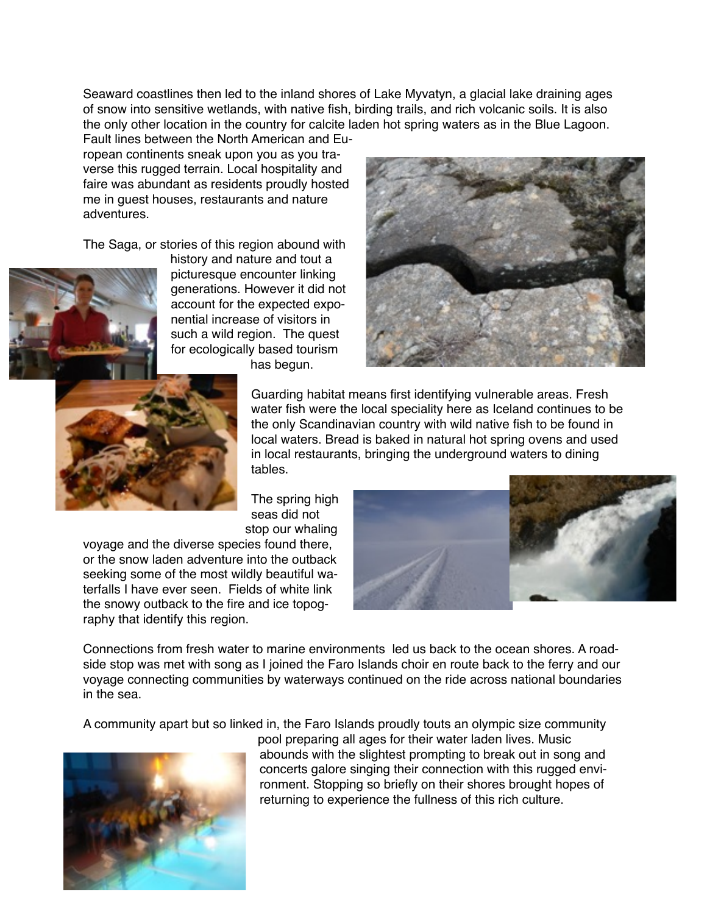Seaward coastlines then led to the inland shores of Lake Myvatyn, a glacial lake draining ages of snow into sensitive wetlands, with native fish, birding trails, and rich volcanic soils. It is also the only other location in the country for calcite laden hot spring waters as in the Blue Lagoon.

Fault lines between the North American and European continents sneak upon you as you traverse this rugged terrain. Local hospitality and faire was abundant as residents proudly hosted me in guest houses, restaurants and nature adventures.

The Saga, or stories of this region abound with



history and nature and tout a picturesque encounter linking generations. However it did not account for the expected exponential increase of visitors in such a wild region. The quest for ecologically based tourism







Guarding habitat means first identifying vulnerable areas. Fresh water fish were the local speciality here as Iceland continues to be the only Scandinavian country with wild native fish to be found in local waters. Bread is baked in natural hot spring ovens and used in local restaurants, bringing the underground waters to dining tables.

The spring high seas did not stop our whaling

voyage and the diverse species found there, or the snow laden adventure into the outback seeking some of the most wildly beautiful waterfalls I have ever seen. Fields of white link the snowy outback to the fire and ice topography that identify this region.



Connections from fresh water to marine environments led us back to the ocean shores. A roadside stop was met with song as I joined the Faro Islands choir en route back to the ferry and our voyage connecting communities by waterways continued on the ride across national boundaries in the sea.

A community apart but so linked in, the Faro Islands proudly touts an olympic size community



pool preparing all ages for their water laden lives. Music abounds with the slightest prompting to break out in song and concerts galore singing their connection with this rugged environment. Stopping so briefly on their shores brought hopes of returning to experience the fullness of this rich culture.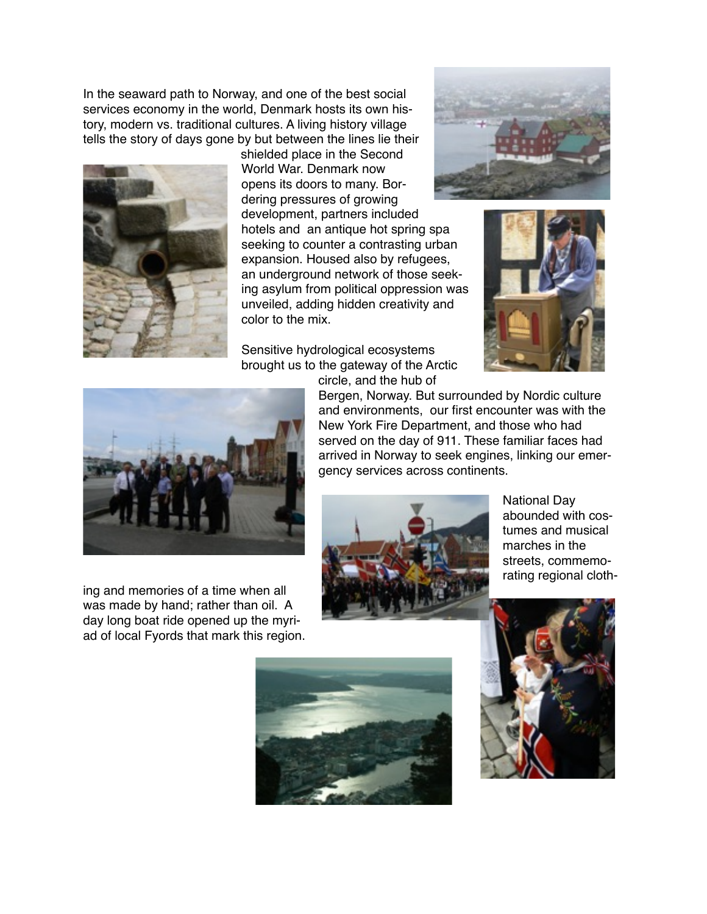In the seaward path to Norway, and one of the best social services economy in the world, Denmark hosts its own history, modern vs. traditional cultures. A living history village tells the story of days gone by but between the lines lie their



shielded place in the Second World War. Denmark now opens its doors to many. Bordering pressures of growing development, partners included hotels and an antique hot spring spa seeking to counter a contrasting urban expansion. Housed also by refugees, an underground network of those seeking asylum from political oppression was unveiled, adding hidden creativity and color to the mix.

Sensitive hydrological ecosystems brought us to the gateway of the Arctic circle, and the hub of







ing and memories of a time when all was made by hand; rather than oil. A day long boat ride opened up the myriad of local Fyords that mark this region. Bergen, Norway. But surrounded by Nordic culture and environments, our first encounter was with the New York Fire Department, and those who had served on the day of 911. These familiar faces had arrived in Norway to seek engines, linking our emergency services across continents.



National Day abounded with costumes and musical marches in the streets, commemorating regional cloth-



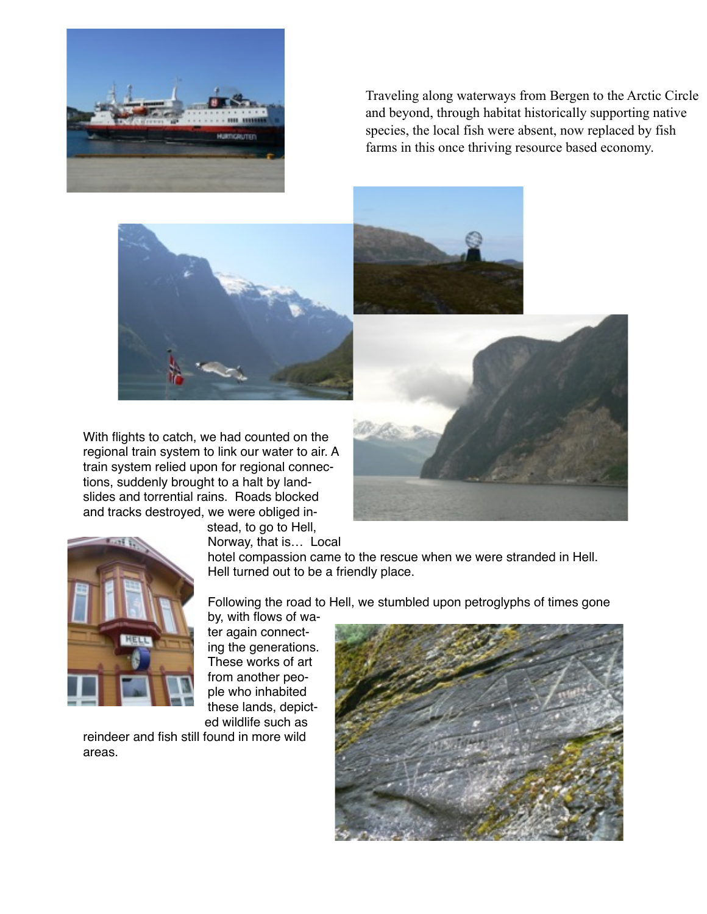

Traveling along waterways from Bergen to the Arctic Circle and beyond, through habitat historically supporting native species, the local fish were absent, now replaced by fish farms in this once thriving resource based economy.

With flights to catch, we had counted on the regional train system to link our water to air. A train system relied upon for regional connections, suddenly brought to a halt by landslides and torrential rains. Roads blocked and tracks destroyed, we were obliged in-





stead, to go to Hell, Norway, that is… Local

hotel compassion came to the rescue when we were stranded in Hell. Hell turned out to be a friendly place.

Following the road to Hell, we stumbled upon petroglyphs of times gone

by, with flows of water again connecting the generations. These works of art from another people who inhabited these lands, depicted wildlife such as

reindeer and fish still found in more wild areas.

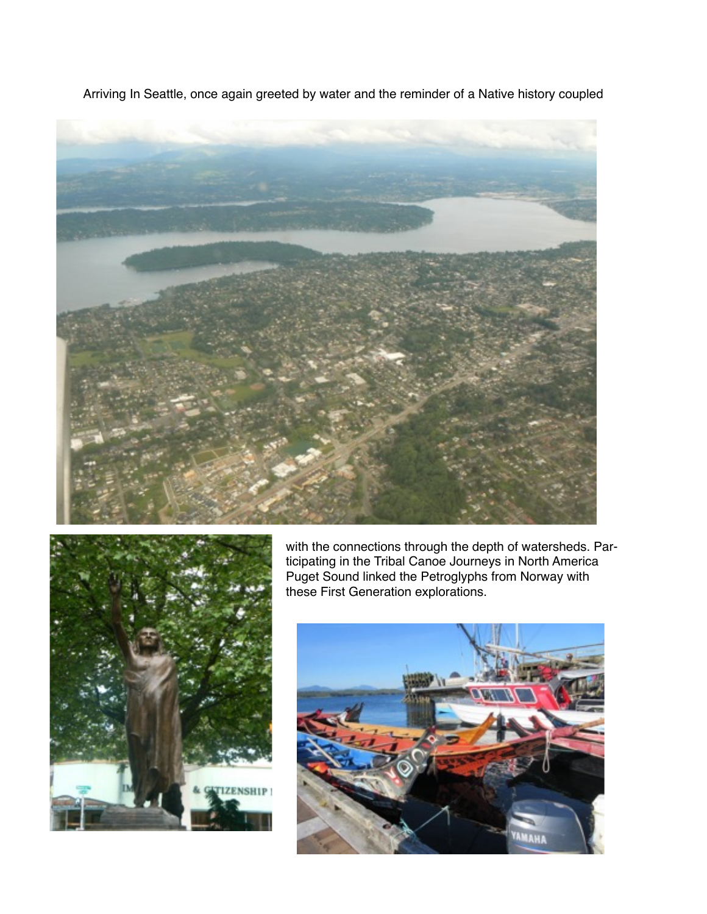





with the connections through the depth of watersheds. Participating in the Tribal Canoe Journeys in North America Puget Sound linked the Petroglyphs from Norway with these First Generation explorations.